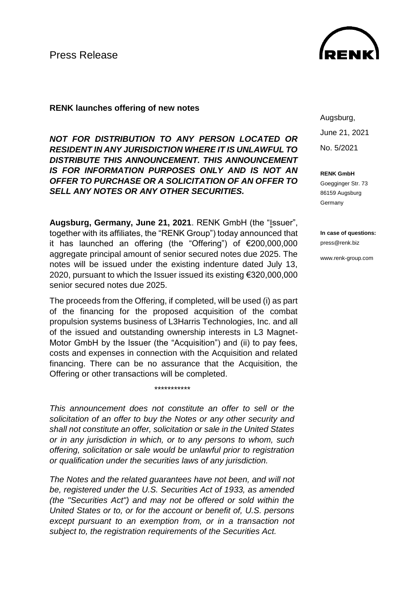

## **RENK launches offering of new notes**

*NOT FOR DISTRIBUTION TO ANY PERSON LOCATED OR RESIDENT IN ANY JURISDICTION WHERE IT IS UNLAWFUL TO DISTRIBUTE THIS ANNOUNCEMENT. THIS ANNOUNCEMENT IS FOR INFORMATION PURPOSES ONLY AND IS NOT AN OFFER TO PURCHASE OR A SOLICITATION OF AN OFFER TO SELL ANY NOTES OR ANY OTHER SECURITIES.*

**Augsburg, Germany, June 21, 2021**. RENK GmbH (the "Issuer", together with its affiliates, the "RENK Group") today announced that it has launched an offering (the "Offering") of €200,000,000 aggregate principal amount of senior secured notes due 2025. The notes will be issued under the existing indenture dated July 13, 2020, pursuant to which the Issuer issued its existing €320,000,000 senior secured notes due 2025.

The proceeds from the Offering, if completed, will be used (i) as part of the financing for the proposed acquisition of the combat propulsion systems business of L3Harris Technologies, Inc. and all of the issued and outstanding ownership interests in L3 Magnet-Motor GmbH by the Issuer (the "Acquisition") and (ii) to pay fees, costs and expenses in connection with the Acquisition and related financing. There can be no assurance that the Acquisition, the Offering or other transactions will be completed.

*This announcement does not constitute an offer to sell or the solicitation of an offer to buy the Notes or any other security and shall not constitute an offer, solicitation or sale in the United States or in any jurisdiction in which, or to any persons to whom, such offering, solicitation or sale would be unlawful prior to registration or qualification under the securities laws of any jurisdiction.*

*\*\*\*\*\*\*\*\*\*\*\**

*The Notes and the related guarantees have not been, and will not be, registered under the U.S. Securities Act of 1933, as amended (the "Securities Act") and may not be offered or sold within the United States or to, or for the account or benefit of, U.S. persons except pursuant to an exemption from, or in a transaction not subject to, the registration requirements of the Securities Act.*

Augsburg, June 21, 2021 No. 5/2021

**RENK GmbH**

Goegginger Str. 73 86159 Augsburg Germany

**In case of questions:** press@renk.biz

www.renk-group.com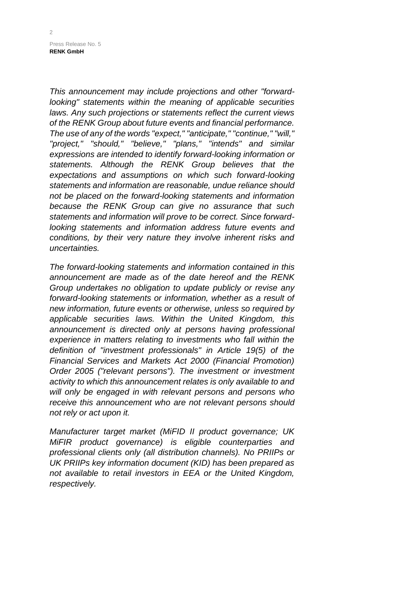Press Release No. 5 **RENK GmbH**

*This announcement may include projections and other "forwardlooking" statements within the meaning of applicable securities laws. Any such projections or statements reflect the current views of the RENK Group about future events and financial performance. The use of any of the words "expect," "anticipate," "continue," "will," "project," "should," "believe," "plans," "intends" and similar expressions are intended to identify forward-looking information or statements. Although the RENK Group believes that the expectations and assumptions on which such forward-looking statements and information are reasonable, undue reliance should not be placed on the forward-looking statements and information because the RENK Group can give no assurance that such statements and information will prove to be correct. Since forwardlooking statements and information address future events and conditions, by their very nature they involve inherent risks and uncertainties.*

*The forward-looking statements and information contained in this announcement are made as of the date hereof and the RENK Group undertakes no obligation to update publicly or revise any forward-looking statements or information, whether as a result of new information, future events or otherwise, unless so required by applicable securities laws. Within the United Kingdom, this announcement is directed only at persons having professional experience in matters relating to investments who fall within the definition of "investment professionals" in Article 19(5) of the Financial Services and Markets Act 2000 (Financial Promotion) Order 2005 ("relevant persons"). The investment or investment activity to which this announcement relates is only available to and will only be engaged in with relevant persons and persons who receive this announcement who are not relevant persons should not rely or act upon it.*

*Manufacturer target market (MiFID II product governance; UK MiFIR product governance) is eligible counterparties and professional clients only (all distribution channels). No PRIIPs or UK PRIIPs key information document (KID) has been prepared as not available to retail investors in EEA or the United Kingdom, respectively.*